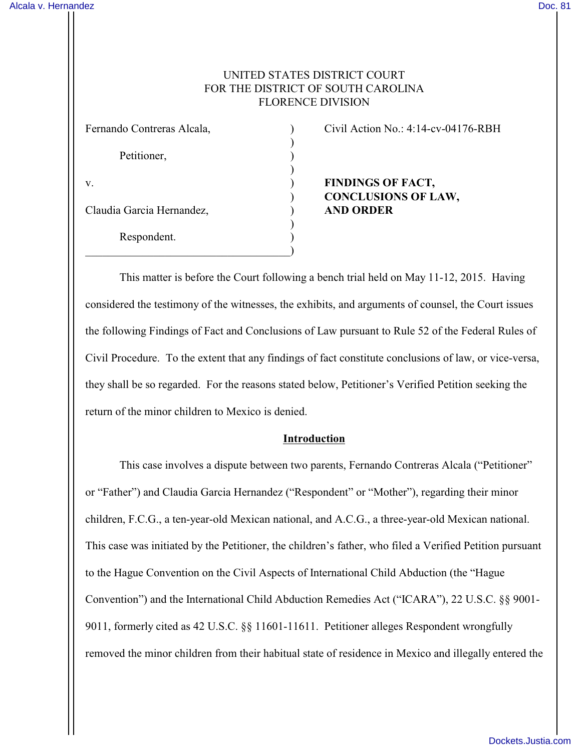# UNITED STATES DISTRICT COURT FOR THE DISTRICT OF SOUTH CAROLINA FLORENCE DIVISION

| Fernando Contreras Alcala, |  |
|----------------------------|--|
| Petitioner,                |  |
| V.                         |  |
| Claudia Garcia Hernandez,  |  |
| Respondent.                |  |

Civil Action No.:  $4:14$ -cv-04176-RBH

**FINDINGS OF FACT,** ) **CONCLUSIONS OF LAW,** Claudia Garcia Hernandez, ) **AND ORDER**

This matter is before the Court following a bench trial held on May 11-12, 2015. Having considered the testimony of the witnesses, the exhibits, and arguments of counsel, the Court issues the following Findings of Fact and Conclusions of Law pursuant to Rule 52 of the Federal Rules of Civil Procedure. To the extent that any findings of fact constitute conclusions of law, or vice-versa, they shall be so regarded. For the reasons stated below, Petitioner's Verified Petition seeking the return of the minor children to Mexico is denied.

### **Introduction**

This case involves a dispute between two parents, Fernando Contreras Alcala ("Petitioner" or "Father") and Claudia Garcia Hernandez ("Respondent" or "Mother"), regarding their minor children, F.C.G., a ten-year-old Mexican national, and A.C.G., a three-year-old Mexican national. This case was initiated by the Petitioner, the children's father, who filed a Verified Petition pursuant to the Hague Convention on the Civil Aspects of International Child Abduction (the "Hague Convention") and the International Child Abduction Remedies Act ("ICARA"), 22 U.S.C. §§ 9001- 9011, formerly cited as 42 U.S.C. §§ 11601-11611. Petitioner alleges Respondent wrongfully removed the minor children from their habitual state of residence in Mexico and illegally entered the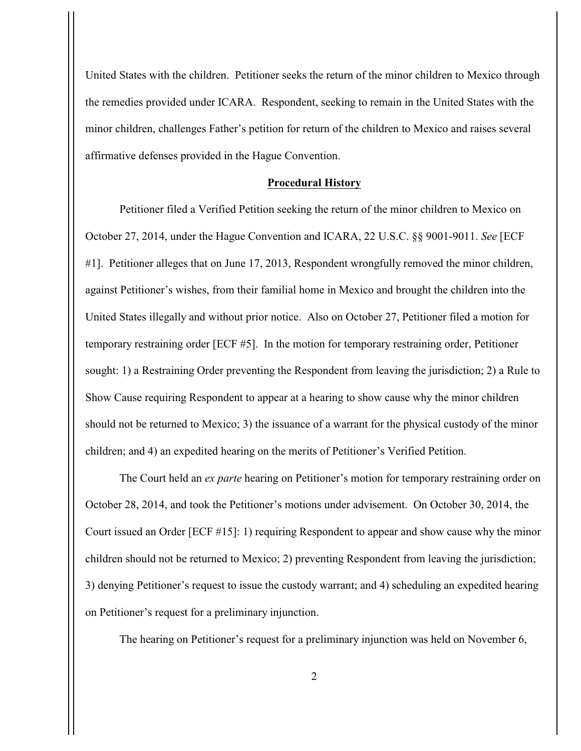United States with the children. Petitioner seeks the return of the minor children to Mexico through the remedies provided under ICARA. Respondent, seeking to remain in the United States with the minor children, challenges Father's petition for return of the children to Mexico and raises several affirmative defenses provided in the Hague Convention.

#### **Procedural History**

Petitioner filed a Verified Petition seeking the return of the minor children to Mexico on October 27, 2014, under the Hague Convention and ICARA, 22 U.S.C. §§ 9001-9011. *See* [ECF #1]. Petitioner alleges that on June 17, 2013, Respondent wrongfully removed the minor children, against Petitioner's wishes, from their familial home in Mexico and brought the children into the United States illegally and without prior notice. Also on October 27, Petitioner filed a motion for temporary restraining order [ECF #5]. In the motion for temporary restraining order, Petitioner sought: 1) a Restraining Order preventing the Respondent from leaving the jurisdiction; 2) a Rule to Show Cause requiring Respondent to appear at a hearing to show cause why the minor children should not be returned to Mexico; 3) the issuance of a warrant for the physical custody of the minor children; and 4) an expedited hearing on the merits of Petitioner's Verified Petition.

The Court held an *ex parte* hearing on Petitioner's motion for temporary restraining order on October 28, 2014, and took the Petitioner's motions under advisement. On October 30, 2014, the Court issued an Order [ECF #15]: 1) requiring Respondent to appear and show cause why the minor children should not be returned to Mexico; 2) preventing Respondent from leaving the jurisdiction; 3) denying Petitioner's request to issue the custody warrant; and 4) scheduling an expedited hearing on Petitioner's request for a preliminary injunction.

The hearing on Petitioner's request for a preliminary injunction was held on November 6,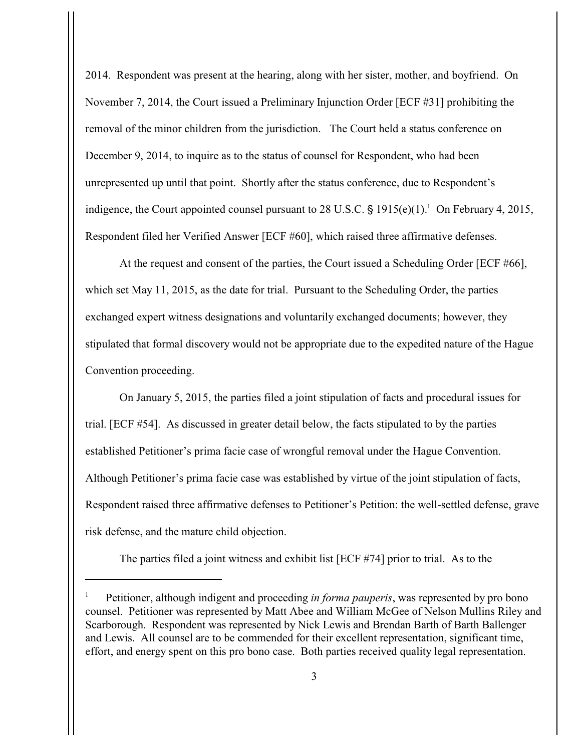2014. Respondent was present at the hearing, along with her sister, mother, and boyfriend. On November 7, 2014, the Court issued a Preliminary Injunction Order [ECF #31] prohibiting the removal of the minor children from the jurisdiction. The Court held a status conference on December 9, 2014, to inquire as to the status of counsel for Respondent, who had been unrepresented up until that point. Shortly after the status conference, due to Respondent's indigence, the Court appointed counsel pursuant to 28 U.S.C.  $\frac{1}{2}$  1915(e)(1).<sup>1</sup> On February 4, 2015, Respondent filed her Verified Answer [ECF #60], which raised three affirmative defenses.

At the request and consent of the parties, the Court issued a Scheduling Order [ECF #66], which set May 11, 2015, as the date for trial. Pursuant to the Scheduling Order, the parties exchanged expert witness designations and voluntarily exchanged documents; however, they stipulated that formal discovery would not be appropriate due to the expedited nature of the Hague Convention proceeding.

On January 5, 2015, the parties filed a joint stipulation of facts and procedural issues for trial. [ECF #54]. As discussed in greater detail below, the facts stipulated to by the parties established Petitioner's prima facie case of wrongful removal under the Hague Convention. Although Petitioner's prima facie case was established by virtue of the joint stipulation of facts, Respondent raised three affirmative defenses to Petitioner's Petition: the well-settled defense, grave risk defense, and the mature child objection.

The parties filed a joint witness and exhibit list [ECF #74] prior to trial. As to the

Petitioner, although indigent and proceeding *in forma pauperis*, was represented by pro bono <sup>1</sup> counsel. Petitioner was represented by Matt Abee and William McGee of Nelson Mullins Riley and Scarborough. Respondent was represented by Nick Lewis and Brendan Barth of Barth Ballenger and Lewis. All counsel are to be commended for their excellent representation, significant time, effort, and energy spent on this pro bono case. Both parties received quality legal representation.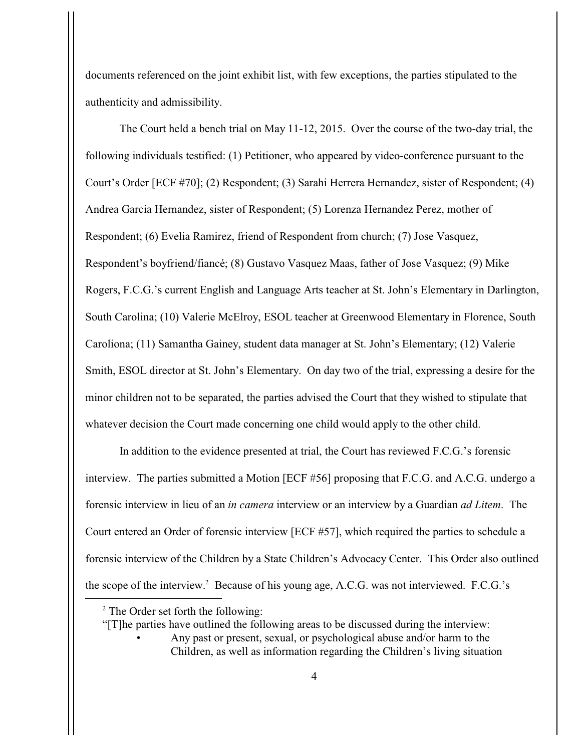documents referenced on the joint exhibit list, with few exceptions, the parties stipulated to the authenticity and admissibility.

The Court held a bench trial on May 11-12, 2015. Over the course of the two-day trial, the following individuals testified: (1) Petitioner, who appeared by video-conference pursuant to the Court's Order [ECF #70]; (2) Respondent; (3) Sarahi Herrera Hernandez, sister of Respondent; (4) Andrea Garcia Hernandez, sister of Respondent; (5) Lorenza Hernandez Perez, mother of Respondent; (6) Evelia Ramirez, friend of Respondent from church; (7) Jose Vasquez, Respondent's boyfriend/fiancé; (8) Gustavo Vasquez Maas, father of Jose Vasquez; (9) Mike Rogers, F.C.G.'s current English and Language Arts teacher at St. John's Elementary in Darlington, South Carolina; (10) Valerie McElroy, ESOL teacher at Greenwood Elementary in Florence, South Caroliona; (11) Samantha Gainey, student data manager at St. John's Elementary; (12) Valerie Smith, ESOL director at St. John's Elementary. On day two of the trial, expressing a desire for the minor children not to be separated, the parties advised the Court that they wished to stipulate that whatever decision the Court made concerning one child would apply to the other child.

In addition to the evidence presented at trial, the Court has reviewed F.C.G.'s forensic interview. The parties submitted a Motion [ECF #56] proposing that F.C.G. and A.C.G. undergo a forensic interview in lieu of an *in camera* interview or an interview by a Guardian *ad Litem*. The Court entered an Order of forensic interview [ECF #57], which required the parties to schedule a forensic interview of the Children by a State Children's Advocacy Center. This Order also outlined the scope of the interview.<sup>2</sup> Because of his young age, A.C.G. was not interviewed. F.C.G.'s

"[T]he parties have outlined the following areas to be discussed during the interview:

• Any past or present, sexual, or psychological abuse and/or harm to the Children, as well as information regarding the Children's living situation

 $2^{\circ}$  The Order set forth the following: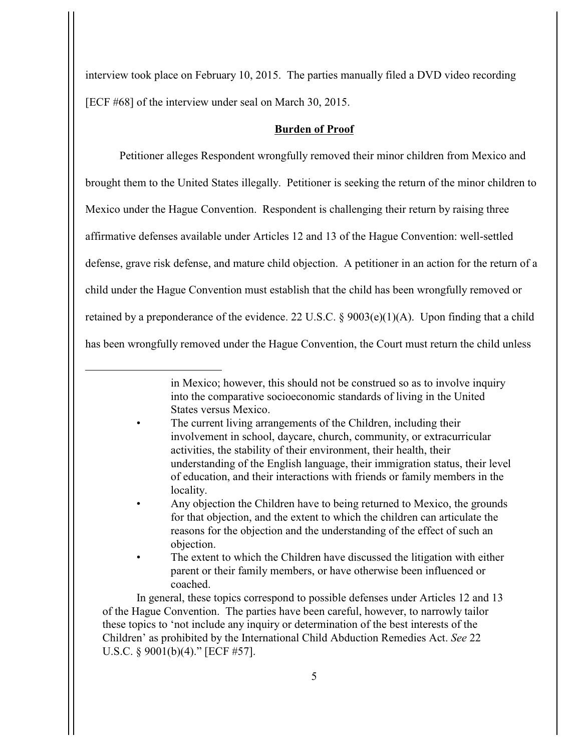interview took place on February 10, 2015. The parties manually filed a DVD video recording [ECF #68] of the interview under seal on March 30, 2015.

### **Burden of Proof**

Petitioner alleges Respondent wrongfully removed their minor children from Mexico and brought them to the United States illegally. Petitioner is seeking the return of the minor children to Mexico under the Hague Convention. Respondent is challenging their return by raising three affirmative defenses available under Articles 12 and 13 of the Hague Convention: well-settled defense, grave risk defense, and mature child objection. A petitioner in an action for the return of a child under the Hague Convention must establish that the child has been wrongfully removed or retained by a preponderance of the evidence. 22 U.S.C. § 9003(e)(1)(A). Upon finding that a child has been wrongfully removed under the Hague Convention, the Court must return the child unless

- The current living arrangements of the Children, including their involvement in school, daycare, church, community, or extracurricular activities, the stability of their environment, their health, their understanding of the English language, their immigration status, their level of education, and their interactions with friends or family members in the locality.
- Any objection the Children have to being returned to Mexico, the grounds for that objection, and the extent to which the children can articulate the reasons for the objection and the understanding of the effect of such an objection.
- The extent to which the Children have discussed the litigation with either parent or their family members, or have otherwise been influenced or coached.

In general, these topics correspond to possible defenses under Articles 12 and 13 of the Hague Convention. The parties have been careful, however, to narrowly tailor these topics to 'not include any inquiry or determination of the best interests of the Children' as prohibited by the International Child Abduction Remedies Act. *See* 22 U.S.C. § 9001(b)(4)." [ECF #57].

in Mexico; however, this should not be construed so as to involve inquiry into the comparative socioeconomic standards of living in the United States versus Mexico.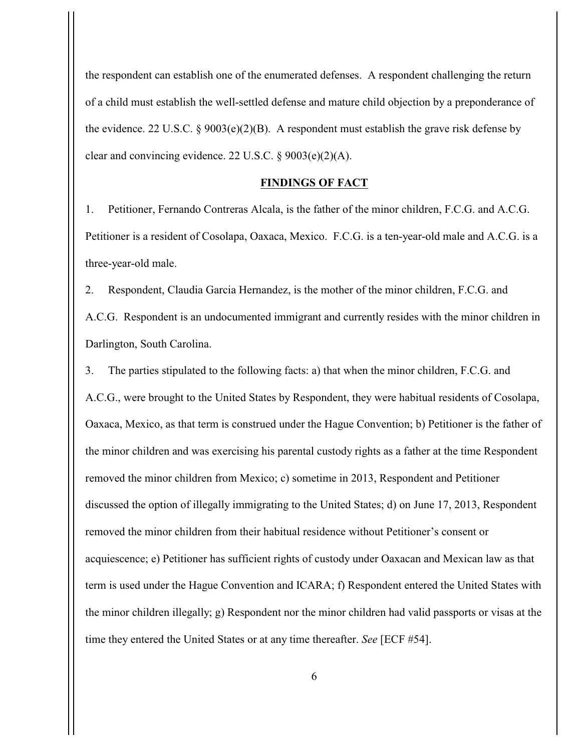the respondent can establish one of the enumerated defenses. A respondent challenging the return of a child must establish the well-settled defense and mature child objection by a preponderance of the evidence. 22 U.S.C. § 9003(e)(2)(B). A respondent must establish the grave risk defense by clear and convincing evidence. 22 U.S.C. § 9003(e)(2)(A).

### **FINDINGS OF FACT**

1. Petitioner, Fernando Contreras Alcala, is the father of the minor children, F.C.G. and A.C.G. Petitioner is a resident of Cosolapa, Oaxaca, Mexico. F.C.G. is a ten-year-old male and A.C.G. is a three-year-old male.

2. Respondent, Claudia Garcia Hernandez, is the mother of the minor children, F.C.G. and A.C.G. Respondent is an undocumented immigrant and currently resides with the minor children in Darlington, South Carolina.

3. The parties stipulated to the following facts: a) that when the minor children, F.C.G. and A.C.G., were brought to the United States by Respondent, they were habitual residents of Cosolapa, Oaxaca, Mexico, as that term is construed under the Hague Convention; b) Petitioner is the father of the minor children and was exercising his parental custody rights as a father at the time Respondent removed the minor children from Mexico; c) sometime in 2013, Respondent and Petitioner discussed the option of illegally immigrating to the United States; d) on June 17, 2013, Respondent removed the minor children from their habitual residence without Petitioner's consent or acquiescence; e) Petitioner has sufficient rights of custody under Oaxacan and Mexican law as that term is used under the Hague Convention and ICARA; f) Respondent entered the United States with the minor children illegally; g) Respondent nor the minor children had valid passports or visas at the time they entered the United States or at any time thereafter. *See* [ECF #54].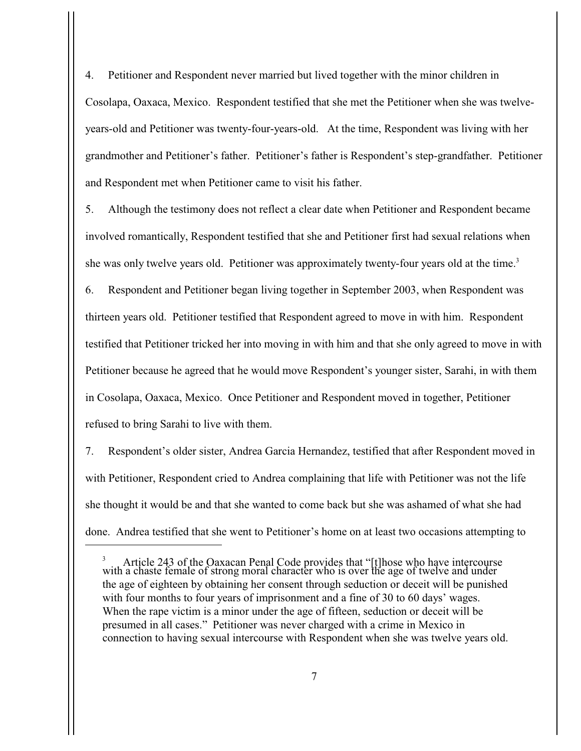4. Petitioner and Respondent never married but lived together with the minor children in Cosolapa, Oaxaca, Mexico. Respondent testified that she met the Petitioner when she was twelveyears-old and Petitioner was twenty-four-years-old. At the time, Respondent was living with her grandmother and Petitioner's father. Petitioner's father is Respondent's step-grandfather. Petitioner and Respondent met when Petitioner came to visit his father.

5. Although the testimony does not reflect a clear date when Petitioner and Respondent became involved romantically, Respondent testified that she and Petitioner first had sexual relations when she was only twelve years old. Petitioner was approximately twenty-four years old at the time.<sup>3</sup>

6. Respondent and Petitioner began living together in September 2003, when Respondent was thirteen years old. Petitioner testified that Respondent agreed to move in with him. Respondent testified that Petitioner tricked her into moving in with him and that she only agreed to move in with Petitioner because he agreed that he would move Respondent's younger sister, Sarahi, in with them in Cosolapa, Oaxaca, Mexico. Once Petitioner and Respondent moved in together, Petitioner refused to bring Sarahi to live with them.

7. Respondent's older sister, Andrea Garcia Hernandez, testified that after Respondent moved in with Petitioner, Respondent cried to Andrea complaining that life with Petitioner was not the life she thought it would be and that she wanted to come back but she was ashamed of what she had done. Andrea testified that she went to Petitioner's home on at least two occasions attempting to

<sup>&</sup>lt;sup>3</sup> Article 243 of the Oaxacan Penal Code provides that "[t]hose who have intercourse with a chaste female of strong moral character who is over the age of twelve and under the age of eighteen by obtaining her consent through seduction or deceit will be punished with four months to four years of imprisonment and a fine of 30 to 60 days' wages. When the rape victim is a minor under the age of fifteen, seduction or deceit will be presumed in all cases." Petitioner was never charged with a crime in Mexico in connection to having sexual intercourse with Respondent when she was twelve years old.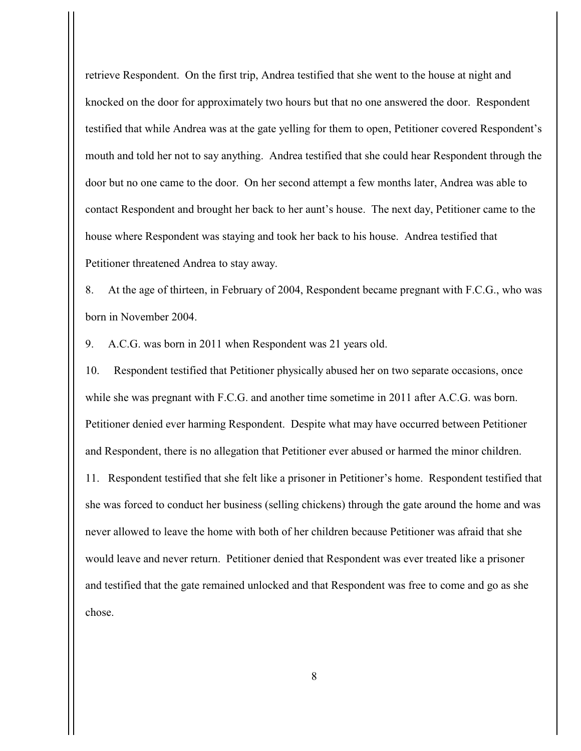retrieve Respondent. On the first trip, Andrea testified that she went to the house at night and knocked on the door for approximately two hours but that no one answered the door. Respondent testified that while Andrea was at the gate yelling for them to open, Petitioner covered Respondent's mouth and told her not to say anything. Andrea testified that she could hear Respondent through the door but no one came to the door. On her second attempt a few months later, Andrea was able to contact Respondent and brought her back to her aunt's house. The next day, Petitioner came to the house where Respondent was staying and took her back to his house. Andrea testified that Petitioner threatened Andrea to stay away.

8. At the age of thirteen, in February of 2004, Respondent became pregnant with F.C.G., who was born in November 2004.

9. A.C.G. was born in 2011 when Respondent was 21 years old.

10. Respondent testified that Petitioner physically abused her on two separate occasions, once while she was pregnant with F.C.G. and another time sometime in 2011 after A.C.G. was born. Petitioner denied ever harming Respondent. Despite what may have occurred between Petitioner and Respondent, there is no allegation that Petitioner ever abused or harmed the minor children. 11. Respondent testified that she felt like a prisoner in Petitioner's home. Respondent testified that she was forced to conduct her business (selling chickens) through the gate around the home and was never allowed to leave the home with both of her children because Petitioner was afraid that she would leave and never return. Petitioner denied that Respondent was ever treated like a prisoner and testified that the gate remained unlocked and that Respondent was free to come and go as she chose.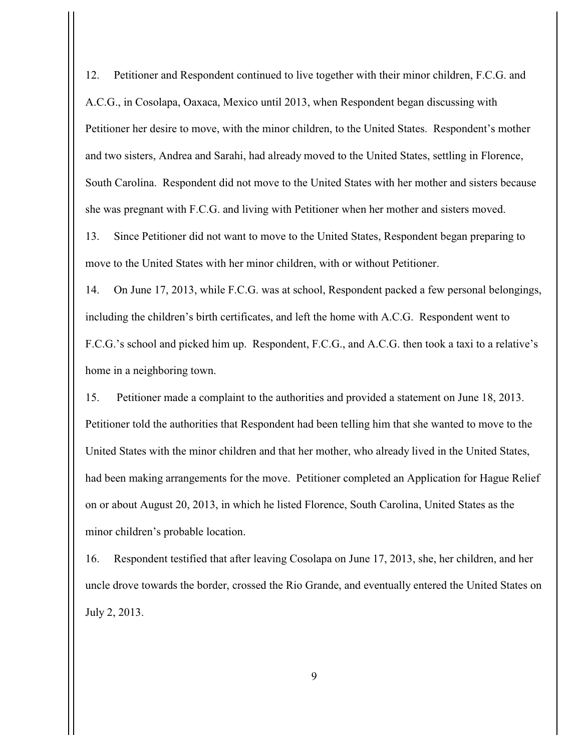12. Petitioner and Respondent continued to live together with their minor children, F.C.G. and A.C.G., in Cosolapa, Oaxaca, Mexico until 2013, when Respondent began discussing with Petitioner her desire to move, with the minor children, to the United States. Respondent's mother and two sisters, Andrea and Sarahi, had already moved to the United States, settling in Florence, South Carolina. Respondent did not move to the United States with her mother and sisters because she was pregnant with F.C.G. and living with Petitioner when her mother and sisters moved.

13. Since Petitioner did not want to move to the United States, Respondent began preparing to move to the United States with her minor children, with or without Petitioner.

14. On June 17, 2013, while F.C.G. was at school, Respondent packed a few personal belongings, including the children's birth certificates, and left the home with A.C.G. Respondent went to F.C.G.'s school and picked him up. Respondent, F.C.G., and A.C.G. then took a taxi to a relative's home in a neighboring town.

15. Petitioner made a complaint to the authorities and provided a statement on June 18, 2013. Petitioner told the authorities that Respondent had been telling him that she wanted to move to the United States with the minor children and that her mother, who already lived in the United States, had been making arrangements for the move. Petitioner completed an Application for Hague Relief on or about August 20, 2013, in which he listed Florence, South Carolina, United States as the minor children's probable location.

16. Respondent testified that after leaving Cosolapa on June 17, 2013, she, her children, and her uncle drove towards the border, crossed the Rio Grande, and eventually entered the United States on July 2, 2013.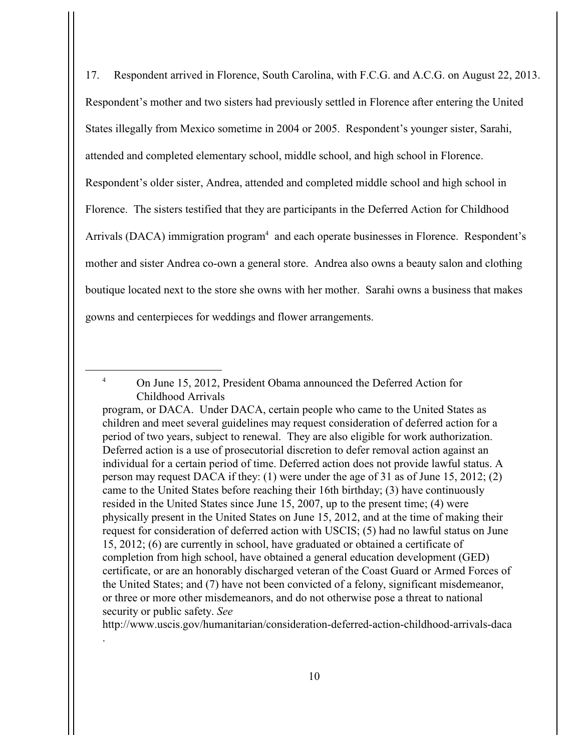17. Respondent arrived in Florence, South Carolina, with F.C.G. and A.C.G. on August 22, 2013. Respondent's mother and two sisters had previously settled in Florence after entering the United States illegally from Mexico sometime in 2004 or 2005. Respondent's younger sister, Sarahi, attended and completed elementary school, middle school, and high school in Florence. Respondent's older sister, Andrea, attended and completed middle school and high school in Florence. The sisters testified that they are participants in the Deferred Action for Childhood Arrivals (DACA) immigration program<sup>4</sup> and each operate businesses in Florence. Respondent's mother and sister Andrea co-own a general store. Andrea also owns a beauty salon and clothing boutique located next to the store she owns with her mother. Sarahi owns a business that makes gowns and centerpieces for weddings and flower arrangements.

.

http://www.uscis.gov/humanitarian/consideration-deferred-action-childhood-arrivals-daca

<sup>&</sup>lt;sup>4</sup> On June 15, 2012, President Obama announced the Deferred Action for Childhood Arrivals

program, or DACA. Under DACA, certain people who came to the United States as children and meet several guidelines may request consideration of deferred action for a period of two years, subject to renewal. They are also eligible for work authorization. Deferred action is a use of prosecutorial discretion to defer removal action against an individual for a certain period of time. Deferred action does not provide lawful status. A person may request DACA if they: (1) were under the age of 31 as of June 15, 2012; (2) came to the United States before reaching their 16th birthday; (3) have continuously resided in the United States since June 15, 2007, up to the present time; (4) were physically present in the United States on June 15, 2012, and at the time of making their request for consideration of deferred action with USCIS; (5) had no lawful status on June 15, 2012; (6) are currently in school, have graduated or obtained a certificate of completion from high school, have obtained a general education development (GED) certificate, or are an honorably discharged veteran of the Coast Guard or Armed Forces of the United States; and (7) have not been convicted of a felony, significant misdemeanor, or three or more other misdemeanors, and do not otherwise pose a threat to national security or public safety. *See*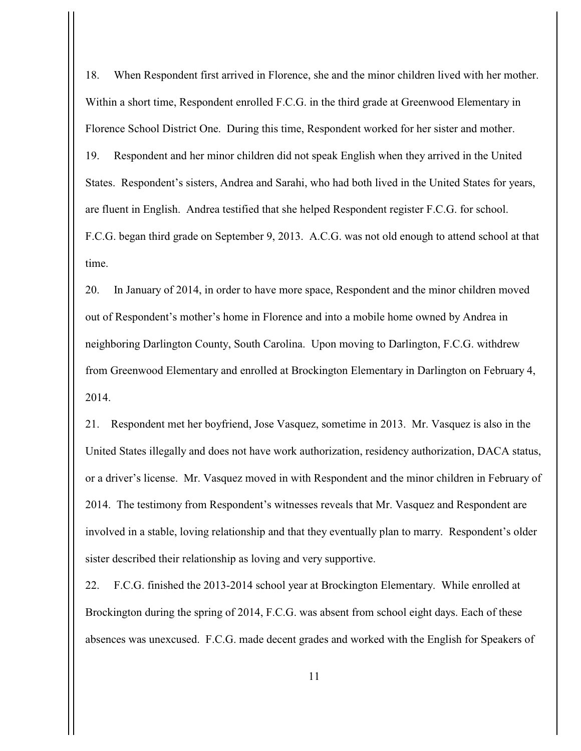18. When Respondent first arrived in Florence, she and the minor children lived with her mother. Within a short time, Respondent enrolled F.C.G. in the third grade at Greenwood Elementary in Florence School District One. During this time, Respondent worked for her sister and mother. 19. Respondent and her minor children did not speak English when they arrived in the United States. Respondent's sisters, Andrea and Sarahi, who had both lived in the United States for years, are fluent in English. Andrea testified that she helped Respondent register F.C.G. for school. F.C.G. began third grade on September 9, 2013. A.C.G. was not old enough to attend school at that time.

20. In January of 2014, in order to have more space, Respondent and the minor children moved out of Respondent's mother's home in Florence and into a mobile home owned by Andrea in neighboring Darlington County, South Carolina. Upon moving to Darlington, F.C.G. withdrew from Greenwood Elementary and enrolled at Brockington Elementary in Darlington on February 4, 2014.

21. Respondent met her boyfriend, Jose Vasquez, sometime in 2013. Mr. Vasquez is also in the United States illegally and does not have work authorization, residency authorization, DACA status, or a driver's license. Mr. Vasquez moved in with Respondent and the minor children in February of 2014. The testimony from Respondent's witnesses reveals that Mr. Vasquez and Respondent are involved in a stable, loving relationship and that they eventually plan to marry. Respondent's older sister described their relationship as loving and very supportive.

22. F.C.G. finished the 2013-2014 school year at Brockington Elementary. While enrolled at Brockington during the spring of 2014, F.C.G. was absent from school eight days. Each of these absences was unexcused. F.C.G. made decent grades and worked with the English for Speakers of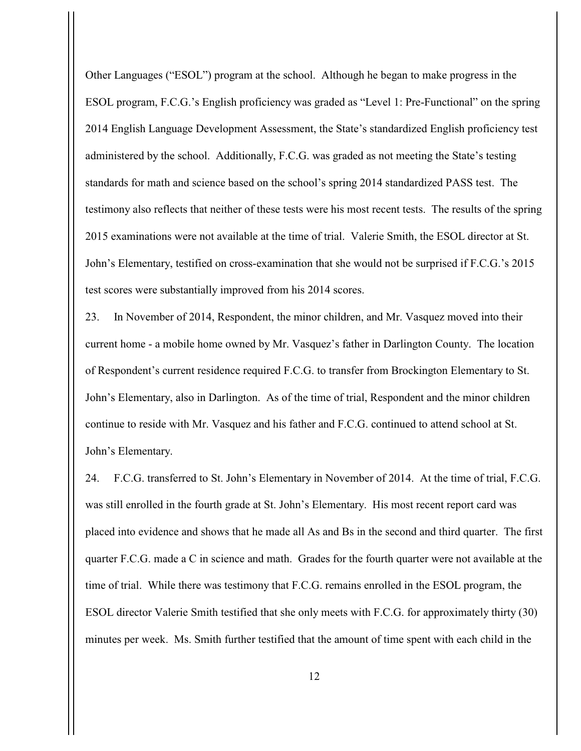Other Languages ("ESOL") program at the school. Although he began to make progress in the ESOL program, F.C.G.'s English proficiency was graded as "Level 1: Pre-Functional" on the spring 2014 English Language Development Assessment, the State's standardized English proficiency test administered by the school. Additionally, F.C.G. was graded as not meeting the State's testing standards for math and science based on the school's spring 2014 standardized PASS test. The testimony also reflects that neither of these tests were his most recent tests. The results of the spring 2015 examinations were not available at the time of trial. Valerie Smith, the ESOL director at St. John's Elementary, testified on cross-examination that she would not be surprised if F.C.G.'s 2015 test scores were substantially improved from his 2014 scores.

23. In November of 2014, Respondent, the minor children, and Mr. Vasquez moved into their current home - a mobile home owned by Mr. Vasquez's father in Darlington County. The location of Respondent's current residence required F.C.G. to transfer from Brockington Elementary to St. John's Elementary, also in Darlington. As of the time of trial, Respondent and the minor children continue to reside with Mr. Vasquez and his father and F.C.G. continued to attend school at St. John's Elementary.

24. F.C.G. transferred to St. John's Elementary in November of 2014. At the time of trial, F.C.G. was still enrolled in the fourth grade at St. John's Elementary. His most recent report card was placed into evidence and shows that he made all As and Bs in the second and third quarter. The first quarter F.C.G. made a C in science and math. Grades for the fourth quarter were not available at the time of trial. While there was testimony that F.C.G. remains enrolled in the ESOL program, the ESOL director Valerie Smith testified that she only meets with F.C.G. for approximately thirty (30) minutes per week. Ms. Smith further testified that the amount of time spent with each child in the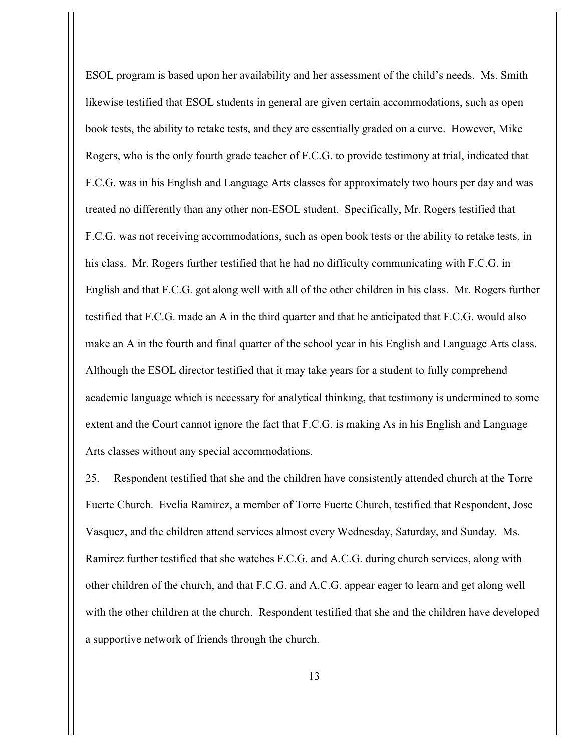ESOL program is based upon her availability and her assessment of the child's needs. Ms. Smith likewise testified that ESOL students in general are given certain accommodations, such as open book tests, the ability to retake tests, and they are essentially graded on a curve. However, Mike Rogers, who is the only fourth grade teacher of F.C.G. to provide testimony at trial, indicated that F.C.G. was in his English and Language Arts classes for approximately two hours per day and was treated no differently than any other non-ESOL student. Specifically, Mr. Rogers testified that F.C.G. was not receiving accommodations, such as open book tests or the ability to retake tests, in his class. Mr. Rogers further testified that he had no difficulty communicating with F.C.G. in English and that F.C.G. got along well with all of the other children in his class. Mr. Rogers further testified that F.C.G. made an A in the third quarter and that he anticipated that F.C.G. would also make an A in the fourth and final quarter of the school year in his English and Language Arts class. Although the ESOL director testified that it may take years for a student to fully comprehend academic language which is necessary for analytical thinking, that testimony is undermined to some extent and the Court cannot ignore the fact that F.C.G. is making As in his English and Language Arts classes without any special accommodations.

25. Respondent testified that she and the children have consistently attended church at the Torre Fuerte Church. Evelia Ramirez, a member of Torre Fuerte Church, testified that Respondent, Jose Vasquez, and the children attend services almost every Wednesday, Saturday, and Sunday. Ms. Ramirez further testified that she watches F.C.G. and A.C.G. during church services, along with other children of the church, and that F.C.G. and A.C.G. appear eager to learn and get along well with the other children at the church. Respondent testified that she and the children have developed a supportive network of friends through the church.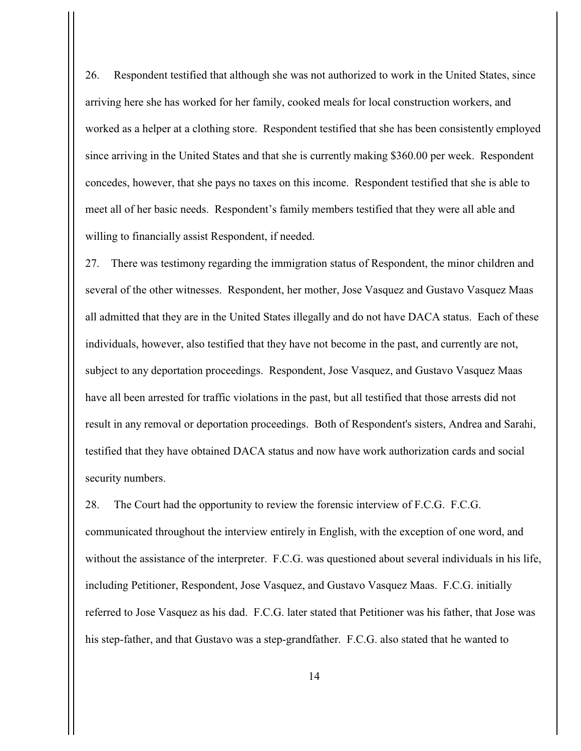26. Respondent testified that although she was not authorized to work in the United States, since arriving here she has worked for her family, cooked meals for local construction workers, and worked as a helper at a clothing store. Respondent testified that she has been consistently employed since arriving in the United States and that she is currently making \$360.00 per week. Respondent concedes, however, that she pays no taxes on this income. Respondent testified that she is able to meet all of her basic needs. Respondent's family members testified that they were all able and willing to financially assist Respondent, if needed.

27. There was testimony regarding the immigration status of Respondent, the minor children and several of the other witnesses. Respondent, her mother, Jose Vasquez and Gustavo Vasquez Maas all admitted that they are in the United States illegally and do not have DACA status. Each of these individuals, however, also testified that they have not become in the past, and currently are not, subject to any deportation proceedings. Respondent, Jose Vasquez, and Gustavo Vasquez Maas have all been arrested for traffic violations in the past, but all testified that those arrests did not result in any removal or deportation proceedings. Both of Respondent's sisters, Andrea and Sarahi, testified that they have obtained DACA status and now have work authorization cards and social security numbers.

28. The Court had the opportunity to review the forensic interview of F.C.G. F.C.G. communicated throughout the interview entirely in English, with the exception of one word, and without the assistance of the interpreter. F.C.G. was questioned about several individuals in his life, including Petitioner, Respondent, Jose Vasquez, and Gustavo Vasquez Maas. F.C.G. initially referred to Jose Vasquez as his dad. F.C.G. later stated that Petitioner was his father, that Jose was his step-father, and that Gustavo was a step-grandfather. F.C.G. also stated that he wanted to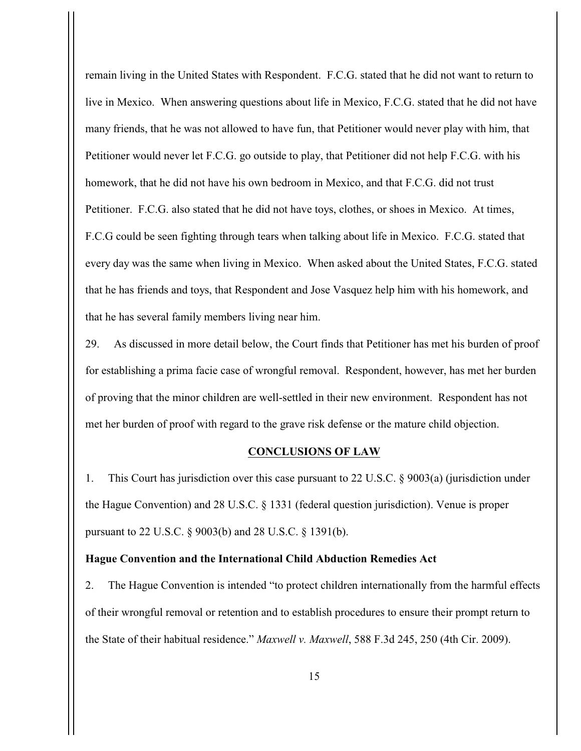remain living in the United States with Respondent. F.C.G. stated that he did not want to return to live in Mexico. When answering questions about life in Mexico, F.C.G. stated that he did not have many friends, that he was not allowed to have fun, that Petitioner would never play with him, that Petitioner would never let F.C.G. go outside to play, that Petitioner did not help F.C.G. with his homework, that he did not have his own bedroom in Mexico, and that F.C.G. did not trust Petitioner. F.C.G. also stated that he did not have toys, clothes, or shoes in Mexico. At times, F.C.G could be seen fighting through tears when talking about life in Mexico. F.C.G. stated that every day was the same when living in Mexico. When asked about the United States, F.C.G. stated that he has friends and toys, that Respondent and Jose Vasquez help him with his homework, and that he has several family members living near him.

29. As discussed in more detail below, the Court finds that Petitioner has met his burden of proof for establishing a prima facie case of wrongful removal. Respondent, however, has met her burden of proving that the minor children are well-settled in their new environment. Respondent has not met her burden of proof with regard to the grave risk defense or the mature child objection.

### **CONCLUSIONS OF LAW**

1. This Court has jurisdiction over this case pursuant to 22 U.S.C. § 9003(a) (jurisdiction under the Hague Convention) and 28 U.S.C. § 1331 (federal question jurisdiction). Venue is proper pursuant to 22 U.S.C. § 9003(b) and 28 U.S.C. § 1391(b).

### **Hague Convention and the International Child Abduction Remedies Act**

2. The Hague Convention is intended "to protect children internationally from the harmful effects of their wrongful removal or retention and to establish procedures to ensure their prompt return to the State of their habitual residence." *Maxwell v. Maxwell*, 588 F.3d 245, 250 (4th Cir. 2009).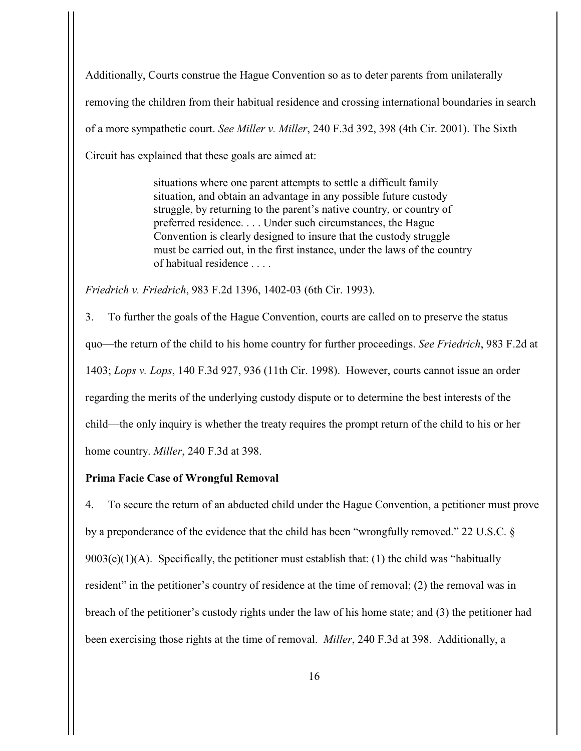Additionally, Courts construe the Hague Convention so as to deter parents from unilaterally removing the children from their habitual residence and crossing international boundaries in search of a more sympathetic court. *See Miller v. Miller*, 240 F.3d 392, 398 (4th Cir. 2001). The Sixth Circuit has explained that these goals are aimed at:

> situations where one parent attempts to settle a difficult family situation, and obtain an advantage in any possible future custody struggle, by returning to the parent's native country, or country of preferred residence. . . . Under such circumstances, the Hague Convention is clearly designed to insure that the custody struggle must be carried out, in the first instance, under the laws of the country of habitual residence

*Friedrich v. Friedrich*, 983 F.2d 1396, 1402-03 (6th Cir. 1993).

3. To further the goals of the Hague Convention, courts are called on to preserve the status quo—the return of the child to his home country for further proceedings. *See Friedrich*, 983 F.2d at 1403; *Lops v. Lops*, 140 F.3d 927, 936 (11th Cir. 1998). However, courts cannot issue an order regarding the merits of the underlying custody dispute or to determine the best interests of the child—the only inquiry is whether the treaty requires the prompt return of the child to his or her home country. *Miller*, 240 F.3d at 398.

### **Prima Facie Case of Wrongful Removal**

4. To secure the return of an abducted child under the Hague Convention, a petitioner must prove by a preponderance of the evidence that the child has been "wrongfully removed." 22 U.S.C. §  $9003(e)(1)(A)$ . Specifically, the petitioner must establish that: (1) the child was "habitually resident" in the petitioner's country of residence at the time of removal; (2) the removal was in breach of the petitioner's custody rights under the law of his home state; and (3) the petitioner had been exercising those rights at the time of removal. *Miller*, 240 F.3d at 398. Additionally, a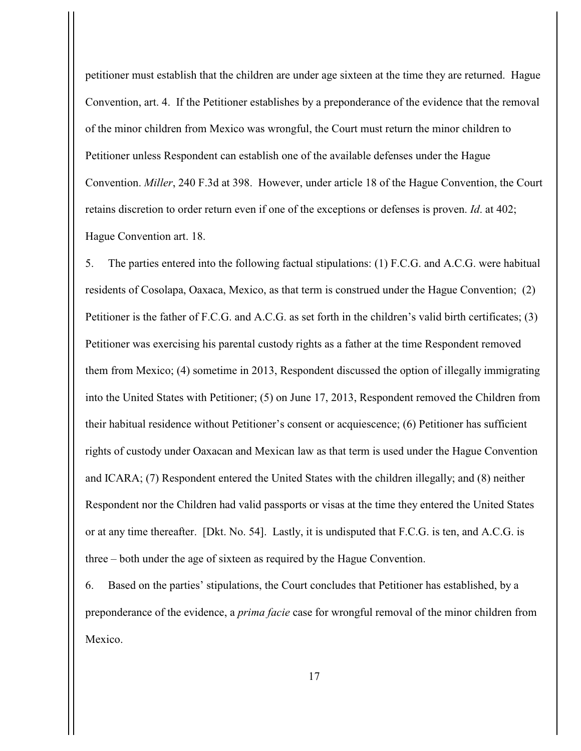petitioner must establish that the children are under age sixteen at the time they are returned. Hague Convention, art. 4. If the Petitioner establishes by a preponderance of the evidence that the removal of the minor children from Mexico was wrongful, the Court must return the minor children to Petitioner unless Respondent can establish one of the available defenses under the Hague Convention. *Miller*, 240 F.3d at 398. However, under article 18 of the Hague Convention, the Court retains discretion to order return even if one of the exceptions or defenses is proven. *Id*. at 402; Hague Convention art. 18.

5. The parties entered into the following factual stipulations: (1) F.C.G. and A.C.G. were habitual residents of Cosolapa, Oaxaca, Mexico, as that term is construed under the Hague Convention; (2) Petitioner is the father of F.C.G. and A.C.G. as set forth in the children's valid birth certificates; (3) Petitioner was exercising his parental custody rights as a father at the time Respondent removed them from Mexico; (4) sometime in 2013, Respondent discussed the option of illegally immigrating into the United States with Petitioner; (5) on June 17, 2013, Respondent removed the Children from their habitual residence without Petitioner's consent or acquiescence; (6) Petitioner has sufficient rights of custody under Oaxacan and Mexican law as that term is used under the Hague Convention and ICARA; (7) Respondent entered the United States with the children illegally; and (8) neither Respondent nor the Children had valid passports or visas at the time they entered the United States or at any time thereafter. [Dkt. No. 54]. Lastly, it is undisputed that F.C.G. is ten, and A.C.G. is three – both under the age of sixteen as required by the Hague Convention.

6. Based on the parties' stipulations, the Court concludes that Petitioner has established, by a preponderance of the evidence, a *prima facie* case for wrongful removal of the minor children from Mexico.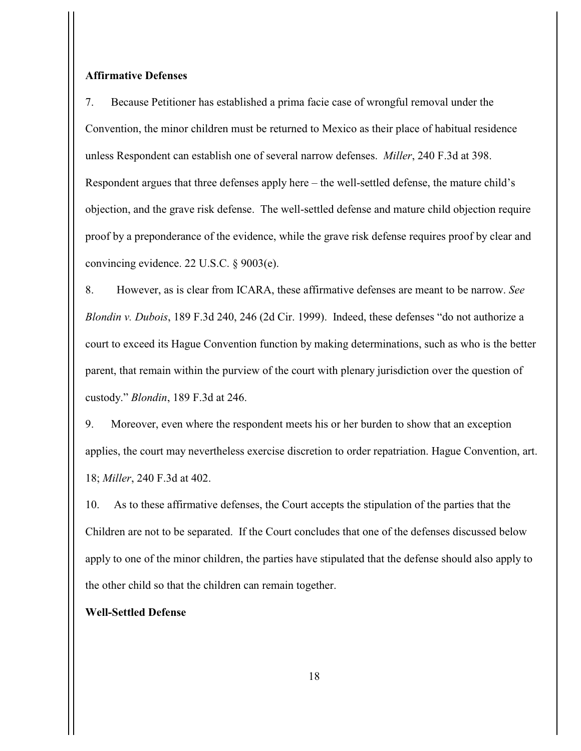### **Affirmative Defenses**

7. Because Petitioner has established a prima facie case of wrongful removal under the Convention, the minor children must be returned to Mexico as their place of habitual residence unless Respondent can establish one of several narrow defenses. *Miller*, 240 F.3d at 398. Respondent argues that three defenses apply here – the well-settled defense, the mature child's objection, and the grave risk defense. The well-settled defense and mature child objection require proof by a preponderance of the evidence, while the grave risk defense requires proof by clear and convincing evidence. 22 U.S.C. § 9003(e).

8. However, as is clear from ICARA, these affirmative defenses are meant to be narrow. *See Blondin v. Dubois*, 189 F.3d 240, 246 (2d Cir. 1999). Indeed, these defenses "do not authorize a court to exceed its Hague Convention function by making determinations, such as who is the better parent, that remain within the purview of the court with plenary jurisdiction over the question of custody." *Blondin*, 189 F.3d at 246.

9. Moreover, even where the respondent meets his or her burden to show that an exception applies, the court may nevertheless exercise discretion to order repatriation. Hague Convention, art. 18; *Miller*, 240 F.3d at 402.

10. As to these affirmative defenses, the Court accepts the stipulation of the parties that the Children are not to be separated. If the Court concludes that one of the defenses discussed below apply to one of the minor children, the parties have stipulated that the defense should also apply to the other child so that the children can remain together.

# **Well-Settled Defense**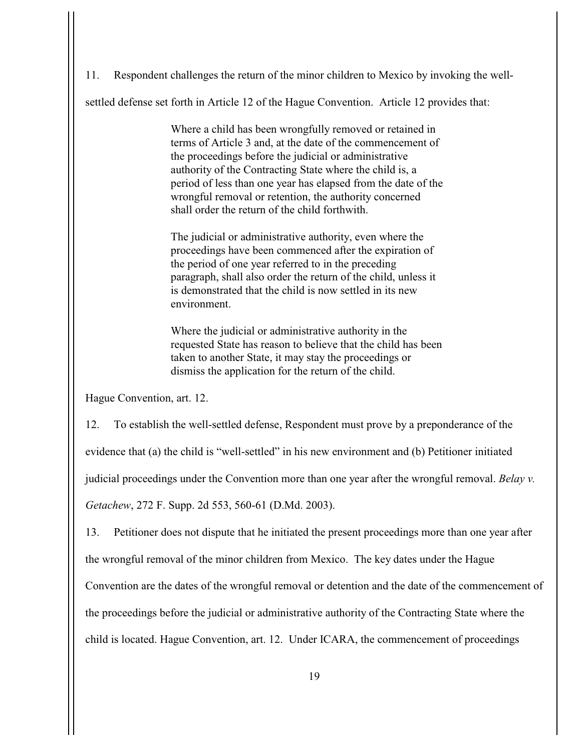11. Respondent challenges the return of the minor children to Mexico by invoking the well-

settled defense set forth in Article 12 of the Hague Convention. Article 12 provides that:

Where a child has been wrongfully removed or retained in terms of Article 3 and, at the date of the commencement of the proceedings before the judicial or administrative authority of the Contracting State where the child is, a period of less than one year has elapsed from the date of the wrongful removal or retention, the authority concerned shall order the return of the child forthwith.

The judicial or administrative authority, even where the proceedings have been commenced after the expiration of the period of one year referred to in the preceding paragraph, shall also order the return of the child, unless it is demonstrated that the child is now settled in its new environment.

Where the judicial or administrative authority in the requested State has reason to believe that the child has been taken to another State, it may stay the proceedings or dismiss the application for the return of the child.

Hague Convention, art. 12.

12. To establish the well-settled defense, Respondent must prove by a preponderance of the evidence that (a) the child is "well-settled" in his new environment and (b) Petitioner initiated judicial proceedings under the Convention more than one year after the wrongful removal. *Belay v. Getachew*, 272 F. Supp. 2d 553, 560-61 (D.Md. 2003).

13. Petitioner does not dispute that he initiated the present proceedings more than one year after the wrongful removal of the minor children from Mexico. The key dates under the Hague Convention are the dates of the wrongful removal or detention and the date of the commencement of the proceedings before the judicial or administrative authority of the Contracting State where the child is located. Hague Convention, art. 12. Under ICARA, the commencement of proceedings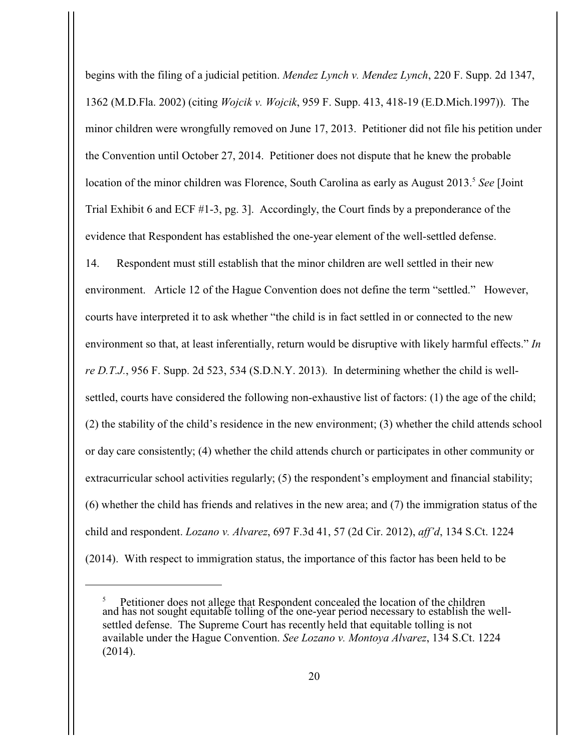begins with the filing of a judicial petition. *Mendez Lynch v. Mendez Lynch*, 220 F. Supp. 2d 1347, 1362 (M.D.Fla. 2002) (citing *Wojcik v. Wojcik*, 959 F. Supp. 413, 418-19 (E.D.Mich.1997)). The minor children were wrongfully removed on June 17, 2013. Petitioner did not file his petition under the Convention until October 27, 2014. Petitioner does not dispute that he knew the probable location of the minor children was Florence, South Carolina as early as August 2013.<sup>5</sup> See [Joint Trial Exhibit 6 and ECF #1-3, pg. 3]. Accordingly, the Court finds by a preponderance of the evidence that Respondent has established the one-year element of the well-settled defense. 14. Respondent must still establish that the minor children are well settled in their new environment. Article 12 of the Hague Convention does not define the term "settled." However, courts have interpreted it to ask whether "the child is in fact settled in or connected to the new environment so that, at least inferentially, return would be disruptive with likely harmful effects." *In re D.T.J.*, 956 F. Supp. 2d 523, 534 (S.D.N.Y. 2013). In determining whether the child is wellsettled, courts have considered the following non-exhaustive list of factors: (1) the age of the child; (2) the stability of the child's residence in the new environment; (3) whether the child attends school or day care consistently; (4) whether the child attends church or participates in other community or extracurricular school activities regularly; (5) the respondent's employment and financial stability; (6) whether the child has friends and relatives in the new area; and (7) the immigration status of the child and respondent. *Lozano v. Alvarez*, 697 F.3d 41, 57 (2d Cir. 2012), *aff'd*, 134 S.Ct. 1224 (2014). With respect to immigration status, the importance of this factor has been held to be

Petitioner does not allege that Respondent concealed the location of the children and has not sought equitable tolling of the one-year period necessary to establish the wellsettled defense. The Supreme Court has recently held that equitable tolling is not available under the Hague Convention. *See Lozano v. Montoya Alvarez*, 134 S.Ct. 1224 (2014).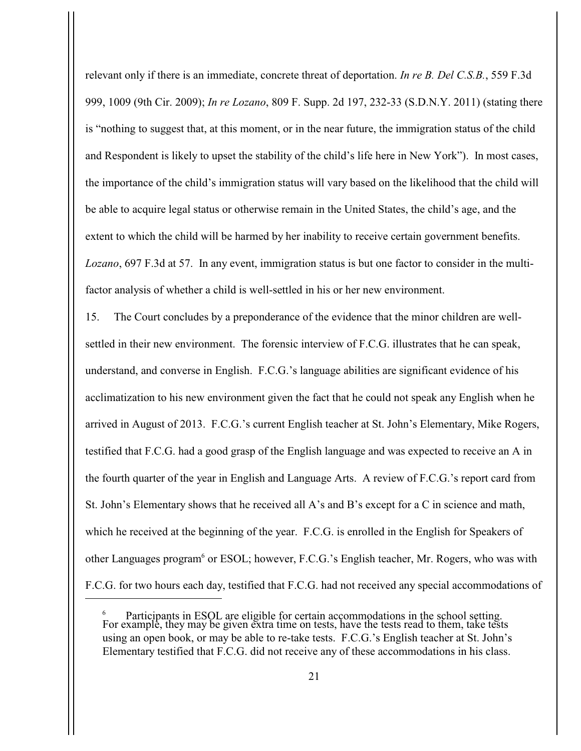relevant only if there is an immediate, concrete threat of deportation. *In re B. Del C.S.B.*, 559 F.3d 999, 1009 (9th Cir. 2009); *In re Lozano*, 809 F. Supp. 2d 197, 232-33 (S.D.N.Y. 2011) (stating there is "nothing to suggest that, at this moment, or in the near future, the immigration status of the child and Respondent is likely to upset the stability of the child's life here in New York"). In most cases, the importance of the child's immigration status will vary based on the likelihood that the child will be able to acquire legal status or otherwise remain in the United States, the child's age, and the extent to which the child will be harmed by her inability to receive certain government benefits. *Lozano*, 697 F.3d at 57. In any event, immigration status is but one factor to consider in the multifactor analysis of whether a child is well-settled in his or her new environment.

15. The Court concludes by a preponderance of the evidence that the minor children are wellsettled in their new environment. The forensic interview of F.C.G. illustrates that he can speak, understand, and converse in English. F.C.G.'s language abilities are significant evidence of his acclimatization to his new environment given the fact that he could not speak any English when he arrived in August of 2013. F.C.G.'s current English teacher at St. John's Elementary, Mike Rogers, testified that F.C.G. had a good grasp of the English language and was expected to receive an A in the fourth quarter of the year in English and Language Arts. A review of F.C.G.'s report card from St. John's Elementary shows that he received all A's and B's except for a C in science and math, which he received at the beginning of the year. F.C.G. is enrolled in the English for Speakers of other Languages program<sup>6</sup> or ESOL; however, F.C.G.'s English teacher, Mr. Rogers, who was with F.C.G. for two hours each day, testified that F.C.G. had not received any special accommodations of

Participants in ESOL are eligible for certain accommodations in the school setting. <sup>6</sup> For example, they may be given extra time on tests, have the tests read to them, take tests using an open book, or may be able to re-take tests. F.C.G.'s English teacher at St. John's Elementary testified that F.C.G. did not receive any of these accommodations in his class.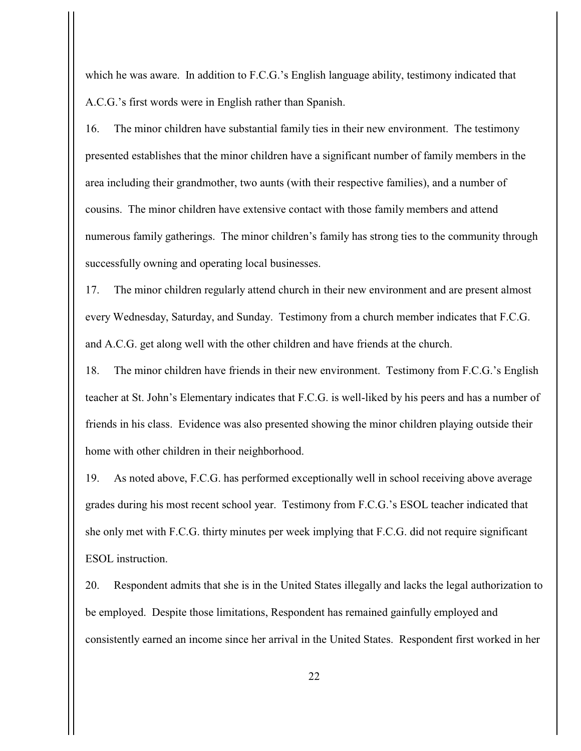which he was aware. In addition to F.C.G.'s English language ability, testimony indicated that A.C.G.'s first words were in English rather than Spanish.

16. The minor children have substantial family ties in their new environment. The testimony presented establishes that the minor children have a significant number of family members in the area including their grandmother, two aunts (with their respective families), and a number of cousins. The minor children have extensive contact with those family members and attend numerous family gatherings. The minor children's family has strong ties to the community through successfully owning and operating local businesses.

17. The minor children regularly attend church in their new environment and are present almost every Wednesday, Saturday, and Sunday. Testimony from a church member indicates that F.C.G. and A.C.G. get along well with the other children and have friends at the church.

18. The minor children have friends in their new environment. Testimony from F.C.G.'s English teacher at St. John's Elementary indicates that F.C.G. is well-liked by his peers and has a number of friends in his class. Evidence was also presented showing the minor children playing outside their home with other children in their neighborhood.

19. As noted above, F.C.G. has performed exceptionally well in school receiving above average grades during his most recent school year. Testimony from F.C.G.'s ESOL teacher indicated that she only met with F.C.G. thirty minutes per week implying that F.C.G. did not require significant ESOL instruction.

20. Respondent admits that she is in the United States illegally and lacks the legal authorization to be employed. Despite those limitations, Respondent has remained gainfully employed and consistently earned an income since her arrival in the United States. Respondent first worked in her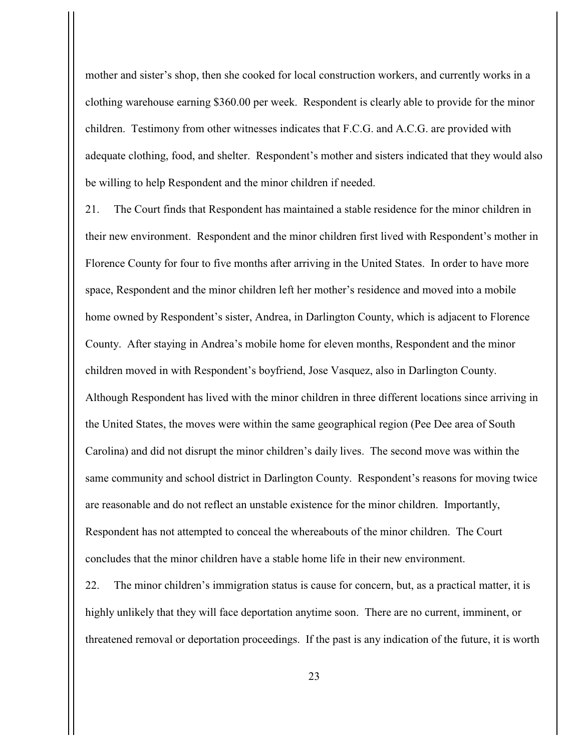mother and sister's shop, then she cooked for local construction workers, and currently works in a clothing warehouse earning \$360.00 per week. Respondent is clearly able to provide for the minor children. Testimony from other witnesses indicates that F.C.G. and A.C.G. are provided with adequate clothing, food, and shelter. Respondent's mother and sisters indicated that they would also be willing to help Respondent and the minor children if needed.

21. The Court finds that Respondent has maintained a stable residence for the minor children in their new environment. Respondent and the minor children first lived with Respondent's mother in Florence County for four to five months after arriving in the United States. In order to have more space, Respondent and the minor children left her mother's residence and moved into a mobile home owned by Respondent's sister, Andrea, in Darlington County, which is adjacent to Florence County. After staying in Andrea's mobile home for eleven months, Respondent and the minor children moved in with Respondent's boyfriend, Jose Vasquez, also in Darlington County. Although Respondent has lived with the minor children in three different locations since arriving in the United States, the moves were within the same geographical region (Pee Dee area of South Carolina) and did not disrupt the minor children's daily lives. The second move was within the same community and school district in Darlington County. Respondent's reasons for moving twice are reasonable and do not reflect an unstable existence for the minor children. Importantly, Respondent has not attempted to conceal the whereabouts of the minor children. The Court concludes that the minor children have a stable home life in their new environment.

22. The minor children's immigration status is cause for concern, but, as a practical matter, it is highly unlikely that they will face deportation anytime soon. There are no current, imminent, or threatened removal or deportation proceedings. If the past is any indication of the future, it is worth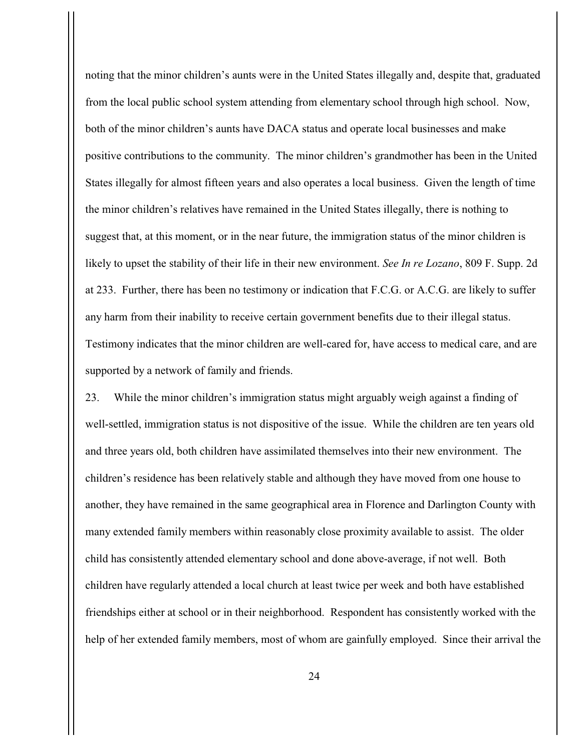noting that the minor children's aunts were in the United States illegally and, despite that, graduated from the local public school system attending from elementary school through high school. Now, both of the minor children's aunts have DACA status and operate local businesses and make positive contributions to the community. The minor children's grandmother has been in the United States illegally for almost fifteen years and also operates a local business. Given the length of time the minor children's relatives have remained in the United States illegally, there is nothing to suggest that, at this moment, or in the near future, the immigration status of the minor children is likely to upset the stability of their life in their new environment. *See In re Lozano*, 809 F. Supp. 2d at 233. Further, there has been no testimony or indication that F.C.G. or A.C.G. are likely to suffer any harm from their inability to receive certain government benefits due to their illegal status. Testimony indicates that the minor children are well-cared for, have access to medical care, and are supported by a network of family and friends.

23. While the minor children's immigration status might arguably weigh against a finding of well-settled, immigration status is not dispositive of the issue. While the children are ten years old and three years old, both children have assimilated themselves into their new environment. The children's residence has been relatively stable and although they have moved from one house to another, they have remained in the same geographical area in Florence and Darlington County with many extended family members within reasonably close proximity available to assist. The older child has consistently attended elementary school and done above-average, if not well. Both children have regularly attended a local church at least twice per week and both have established friendships either at school or in their neighborhood. Respondent has consistently worked with the help of her extended family members, most of whom are gainfully employed. Since their arrival the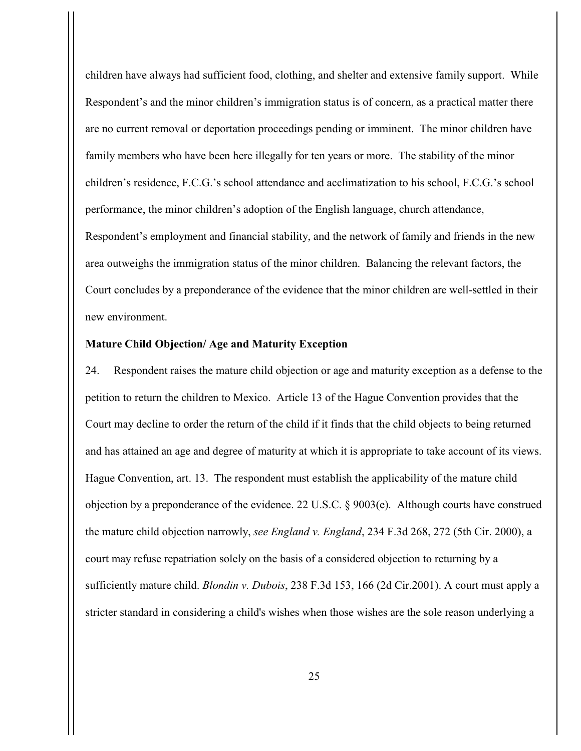children have always had sufficient food, clothing, and shelter and extensive family support. While Respondent's and the minor children's immigration status is of concern, as a practical matter there are no current removal or deportation proceedings pending or imminent. The minor children have family members who have been here illegally for ten years or more. The stability of the minor children's residence, F.C.G.'s school attendance and acclimatization to his school, F.C.G.'s school performance, the minor children's adoption of the English language, church attendance, Respondent's employment and financial stability, and the network of family and friends in the new area outweighs the immigration status of the minor children. Balancing the relevant factors, the Court concludes by a preponderance of the evidence that the minor children are well-settled in their new environment.

# **Mature Child Objection/ Age and Maturity Exception**

24. Respondent raises the mature child objection or age and maturity exception as a defense to the petition to return the children to Mexico. Article 13 of the Hague Convention provides that the Court may decline to order the return of the child if it finds that the child objects to being returned and has attained an age and degree of maturity at which it is appropriate to take account of its views. Hague Convention, art. 13. The respondent must establish the applicability of the mature child objection by a preponderance of the evidence. 22 U.S.C. § 9003(e). Although courts have construed the mature child objection narrowly, *see England v. England*, 234 F.3d 268, 272 (5th Cir. 2000), a court may refuse repatriation solely on the basis of a considered objection to returning by a sufficiently mature child. *Blondin v. Dubois*, 238 F.3d 153, 166 (2d Cir.2001). A court must apply a stricter standard in considering a child's wishes when those wishes are the sole reason underlying a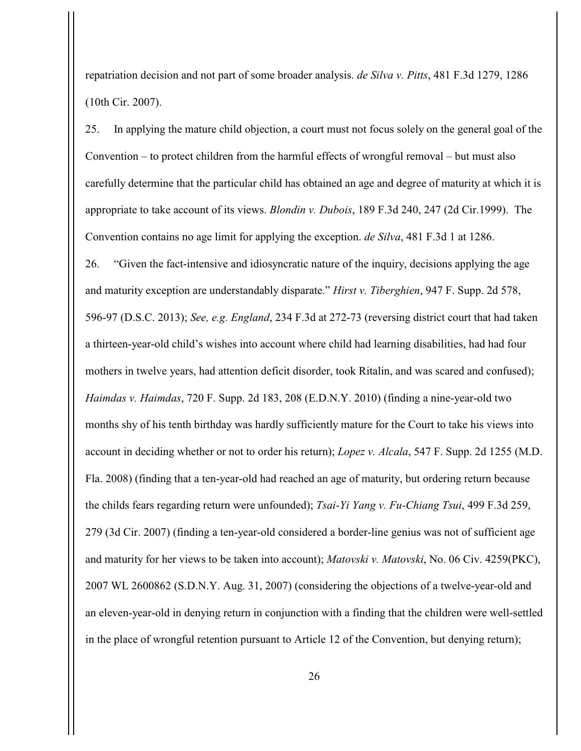repatriation decision and not part of some broader analysis. *de Silva v. Pitts*, 481 F.3d 1279, 1286 (10th Cir. 2007).

25.In applying the mature child objection, a court must not focus solely on the general goal of the Convention – to protect children from the harmful effects of wrongful removal – but must also carefully determine that the particular child has obtained an age and degree of maturity at which it is appropriate to take account of its views. *Blondin v. Dubois*, 189 F.3d 240, 247 (2d Cir.1999). The Convention contains no age limit for applying the exception. *de Silva*, 481 F.3d 1 at 1286. 26. "Given the fact-intensive and idiosyncratic nature of the inquiry, decisions applying the age and maturity exception are understandably disparate." *Hirst v. Tiberghien*, 947 F. Supp. 2d 578, 596-97 (D.S.C. 2013); *See, e.g. England*, 234 F.3d at 272-73 (reversing district court that had taken a thirteen-year-old child's wishes into account where child had learning disabilities, had had four mothers in twelve years, had attention deficit disorder, took Ritalin, and was scared and confused); *Haimdas v. Haimdas*, 720 F. Supp. 2d 183, 208 (E.D.N.Y. 2010) (finding a nine-year-old two months shy of his tenth birthday was hardly sufficiently mature for the Court to take his views into account in deciding whether or not to order his return); *Lopez v. Alcala*, 547 F. Supp. 2d 1255 (M.D. Fla. 2008) (finding that a ten-year-old had reached an age of maturity, but ordering return because the childs fears regarding return were unfounded); *Tsai-Yi Yang v. Fu-Chiang Tsui*, 499 F.3d 259, 279 (3d Cir. 2007) (finding a ten-year-old considered a border-line genius was not of sufficient age and maturity for her views to be taken into account); *Matovski v. Matovski*, No. 06 Civ. 4259(PKC), 2007 WL 2600862 (S.D.N.Y. Aug. 31, 2007) (considering the objections of a twelve-year-old and an eleven-year-old in denying return in conjunction with a finding that the children were well-settled in the place of wrongful retention pursuant to Article 12 of the Convention, but denying return);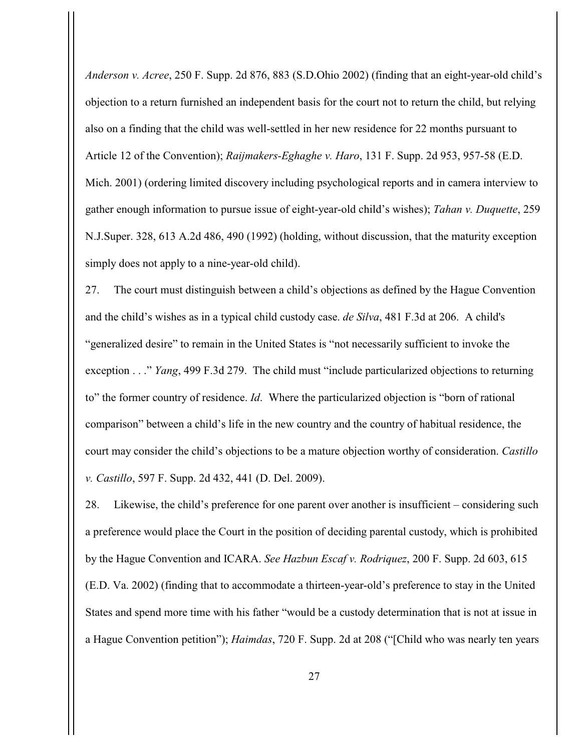*Anderson v. Acree*, 250 F. Supp. 2d 876, 883 (S.D.Ohio 2002) (finding that an eight-year-old child's objection to a return furnished an independent basis for the court not to return the child, but relying also on a finding that the child was well-settled in her new residence for 22 months pursuant to Article 12 of the Convention); *Raijmakers-Eghaghe v. Haro*, 131 F. Supp. 2d 953, 957-58 (E.D. Mich. 2001) (ordering limited discovery including psychological reports and in camera interview to gather enough information to pursue issue of eight-year-old child's wishes); *Tahan v. Duquette*, 259 N.J.Super. 328, 613 A.2d 486, 490 (1992) (holding, without discussion, that the maturity exception simply does not apply to a nine-year-old child).

27. The court must distinguish between a child's objections as defined by the Hague Convention and the child's wishes as in a typical child custody case. *de Silva*, 481 F.3d at 206. A child's "generalized desire" to remain in the United States is "not necessarily sufficient to invoke the exception . . ." *Yang*, 499 F.3d 279. The child must "include particularized objections to returning to" the former country of residence. *Id*. Where the particularized objection is "born of rational comparison" between a child's life in the new country and the country of habitual residence, the court may consider the child's objections to be a mature objection worthy of consideration. *Castillo v. Castillo*, 597 F. Supp. 2d 432, 441 (D. Del. 2009).

28. Likewise, the child's preference for one parent over another is insufficient – considering such a preference would place the Court in the position of deciding parental custody, which is prohibited by the Hague Convention and ICARA. *See Hazbun Escaf v. Rodriquez*, 200 F. Supp. 2d 603, 615 (E.D. Va. 2002) (finding that to accommodate a thirteen-year-old's preference to stay in the United States and spend more time with his father "would be a custody determination that is not at issue in a Hague Convention petition"); *Haimdas*, 720 F. Supp. 2d at 208 ("[Child who was nearly ten years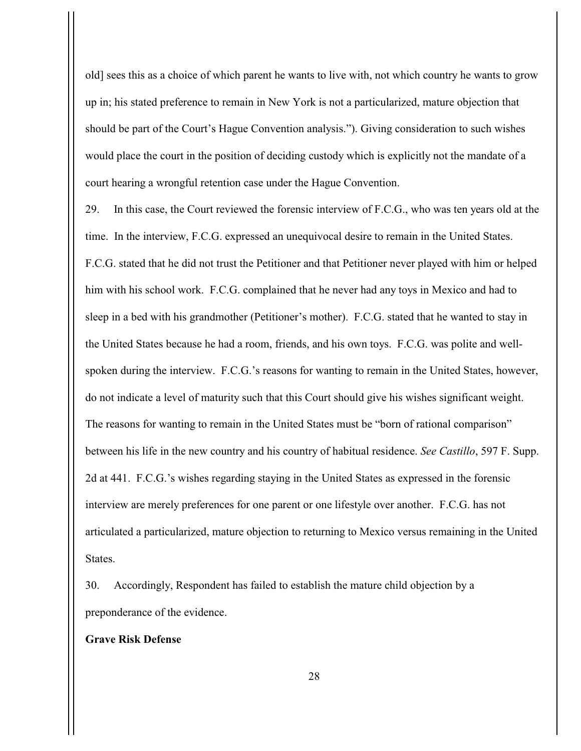old] sees this as a choice of which parent he wants to live with, not which country he wants to grow up in; his stated preference to remain in New York is not a particularized, mature objection that should be part of the Court's Hague Convention analysis."). Giving consideration to such wishes would place the court in the position of deciding custody which is explicitly not the mandate of a court hearing a wrongful retention case under the Hague Convention.

29. In this case, the Court reviewed the forensic interview of F.C.G., who was ten years old at the time. In the interview, F.C.G. expressed an unequivocal desire to remain in the United States. F.C.G. stated that he did not trust the Petitioner and that Petitioner never played with him or helped him with his school work. F.C.G. complained that he never had any toys in Mexico and had to sleep in a bed with his grandmother (Petitioner's mother). F.C.G. stated that he wanted to stay in the United States because he had a room, friends, and his own toys. F.C.G. was polite and wellspoken during the interview. F.C.G.'s reasons for wanting to remain in the United States, however, do not indicate a level of maturity such that this Court should give his wishes significant weight. The reasons for wanting to remain in the United States must be "born of rational comparison" between his life in the new country and his country of habitual residence. *See Castillo*, 597 F. Supp. 2d at 441. F.C.G.'s wishes regarding staying in the United States as expressed in the forensic interview are merely preferences for one parent or one lifestyle over another. F.C.G. has not articulated a particularized, mature objection to returning to Mexico versus remaining in the United States.

30. Accordingly, Respondent has failed to establish the mature child objection by a preponderance of the evidence.

# **Grave Risk Defense**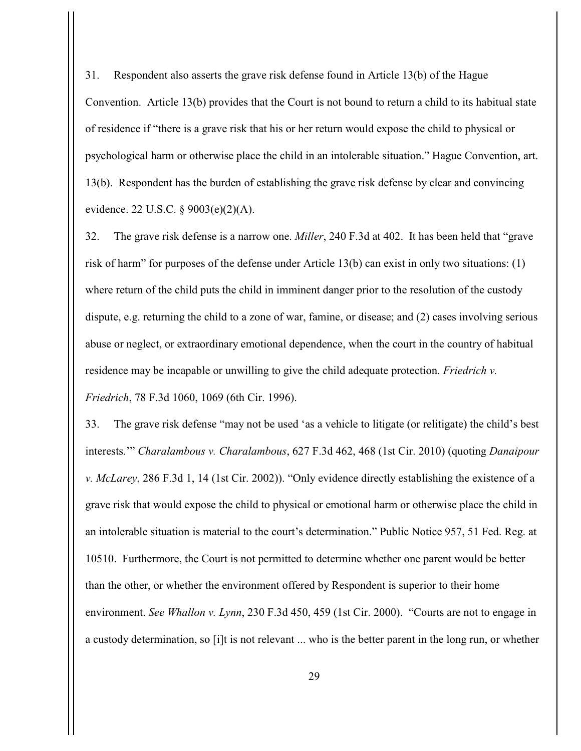31. Respondent also asserts the grave risk defense found in Article 13(b) of the Hague Convention. Article 13(b) provides that the Court is not bound to return a child to its habitual state of residence if "there is a grave risk that his or her return would expose the child to physical or psychological harm or otherwise place the child in an intolerable situation." Hague Convention, art. 13(b). Respondent has the burden of establishing the grave risk defense by clear and convincing evidence. 22 U.S.C. § 9003(e)(2)(A).

32. The grave risk defense is a narrow one. *Miller*, 240 F.3d at 402. It has been held that "grave risk of harm" for purposes of the defense under Article 13(b) can exist in only two situations: (1) where return of the child puts the child in imminent danger prior to the resolution of the custody dispute, e.g. returning the child to a zone of war, famine, or disease; and (2) cases involving serious abuse or neglect, or extraordinary emotional dependence, when the court in the country of habitual residence may be incapable or unwilling to give the child adequate protection. *Friedrich v. Friedrich*, 78 F.3d 1060, 1069 (6th Cir. 1996).

33. The grave risk defense "may not be used 'as a vehicle to litigate (or relitigate) the child's best interests.'" *Charalambous v. Charalambous*, 627 F.3d 462, 468 (1st Cir. 2010) (quoting *Danaipour v. McLarey*, 286 F.3d 1, 14 (1st Cir. 2002)). "Only evidence directly establishing the existence of a grave risk that would expose the child to physical or emotional harm or otherwise place the child in an intolerable situation is material to the court's determination." Public Notice 957, 51 Fed. Reg. at 10510. Furthermore, the Court is not permitted to determine whether one parent would be better than the other, or whether the environment offered by Respondent is superior to their home environment. *See Whallon v. Lynn*, 230 F.3d 450, 459 (1st Cir. 2000). "Courts are not to engage in a custody determination, so [i]t is not relevant ... who is the better parent in the long run, or whether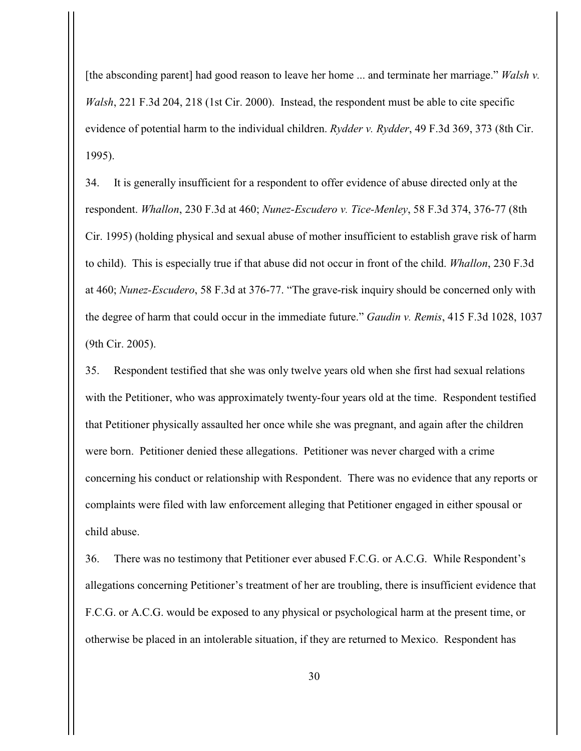[the absconding parent] had good reason to leave her home ... and terminate her marriage." *Walsh v. Walsh*, 221 F.3d 204, 218 (1st Cir. 2000). Instead, the respondent must be able to cite specific evidence of potential harm to the individual children. *Rydder v. Rydder*, 49 F.3d 369, 373 (8th Cir. 1995).

34. It is generally insufficient for a respondent to offer evidence of abuse directed only at the respondent. *Whallon*, 230 F.3d at 460; *Nunez-Escudero v. Tice-Menley*, 58 F.3d 374, 376-77 (8th Cir. 1995) (holding physical and sexual abuse of mother insufficient to establish grave risk of harm to child). This is especially true if that abuse did not occur in front of the child. *Whallon*, 230 F.3d at 460; *Nunez-Escudero*, 58 F.3d at 376-77. "The grave-risk inquiry should be concerned only with the degree of harm that could occur in the immediate future." *Gaudin v. Remis*, 415 F.3d 1028, 1037 (9th Cir. 2005).

35. Respondent testified that she was only twelve years old when she first had sexual relations with the Petitioner, who was approximately twenty-four years old at the time. Respondent testified that Petitioner physically assaulted her once while she was pregnant, and again after the children were born. Petitioner denied these allegations. Petitioner was never charged with a crime concerning his conduct or relationship with Respondent. There was no evidence that any reports or complaints were filed with law enforcement alleging that Petitioner engaged in either spousal or child abuse.

36. There was no testimony that Petitioner ever abused F.C.G. or A.C.G. While Respondent's allegations concerning Petitioner's treatment of her are troubling, there is insufficient evidence that F.C.G. or A.C.G. would be exposed to any physical or psychological harm at the present time, or otherwise be placed in an intolerable situation, if they are returned to Mexico. Respondent has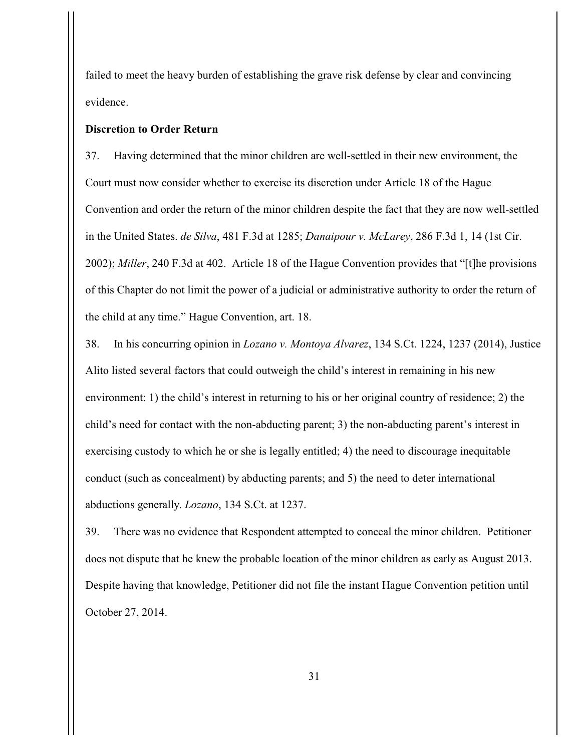failed to meet the heavy burden of establishing the grave risk defense by clear and convincing evidence.

### **Discretion to Order Return**

37. Having determined that the minor children are well-settled in their new environment, the Court must now consider whether to exercise its discretion under Article 18 of the Hague Convention and order the return of the minor children despite the fact that they are now well-settled in the United States. *de Silva*, 481 F.3d at 1285; *Danaipour v. McLarey*, 286 F.3d 1, 14 (1st Cir. 2002); *Miller*, 240 F.3d at 402. Article 18 of the Hague Convention provides that "[t]he provisions of this Chapter do not limit the power of a judicial or administrative authority to order the return of the child at any time." Hague Convention, art. 18.

38. In his concurring opinion in *Lozano v. Montoya Alvarez*, 134 S.Ct. 1224, 1237 (2014), Justice Alito listed several factors that could outweigh the child's interest in remaining in his new environment: 1) the child's interest in returning to his or her original country of residence; 2) the child's need for contact with the non-abducting parent; 3) the non-abducting parent's interest in exercising custody to which he or she is legally entitled; 4) the need to discourage inequitable conduct (such as concealment) by abducting parents; and 5) the need to deter international abductions generally. *Lozano*, 134 S.Ct. at 1237.

39. There was no evidence that Respondent attempted to conceal the minor children. Petitioner does not dispute that he knew the probable location of the minor children as early as August 2013. Despite having that knowledge, Petitioner did not file the instant Hague Convention petition until October 27, 2014.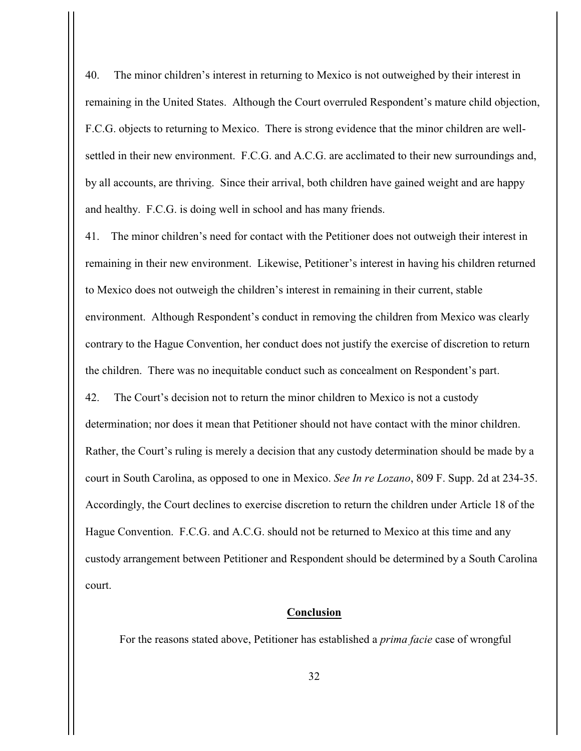40. The minor children's interest in returning to Mexico is not outweighed by their interest in remaining in the United States. Although the Court overruled Respondent's mature child objection, F.C.G. objects to returning to Mexico. There is strong evidence that the minor children are wellsettled in their new environment. F.C.G. and A.C.G. are acclimated to their new surroundings and, by all accounts, are thriving. Since their arrival, both children have gained weight and are happy and healthy. F.C.G. is doing well in school and has many friends.

41. The minor children's need for contact with the Petitioner does not outweigh their interest in remaining in their new environment. Likewise, Petitioner's interest in having his children returned to Mexico does not outweigh the children's interest in remaining in their current, stable environment. Although Respondent's conduct in removing the children from Mexico was clearly contrary to the Hague Convention, her conduct does not justify the exercise of discretion to return the children. There was no inequitable conduct such as concealment on Respondent's part.

42. The Court's decision not to return the minor children to Mexico is not a custody

determination; nor does it mean that Petitioner should not have contact with the minor children. Rather, the Court's ruling is merely a decision that any custody determination should be made by a court in South Carolina, as opposed to one in Mexico. *See In re Lozano*, 809 F. Supp. 2d at 234-35. Accordingly, the Court declines to exercise discretion to return the children under Article 18 of the Hague Convention. F.C.G. and A.C.G. should not be returned to Mexico at this time and any custody arrangement between Petitioner and Respondent should be determined by a South Carolina court.

### **Conclusion**

For the reasons stated above, Petitioner has established a *prima facie* case of wrongful